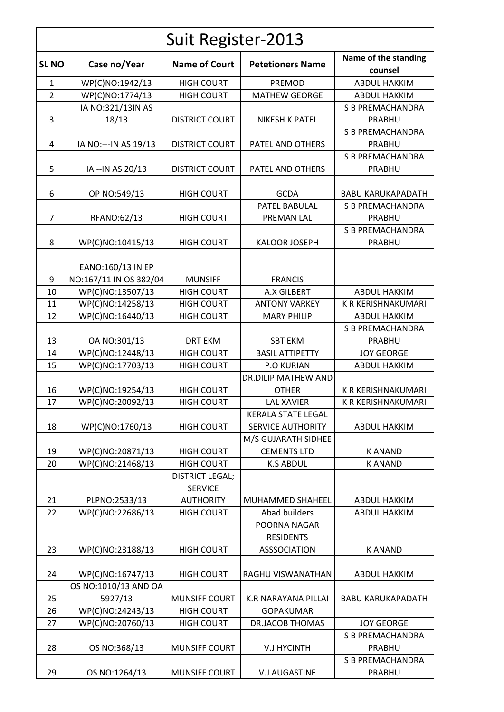| Suit Register-2013 |                                             |                                                              |                                                       |                                          |  |  |
|--------------------|---------------------------------------------|--------------------------------------------------------------|-------------------------------------------------------|------------------------------------------|--|--|
| <b>SLNO</b>        | Case no/Year                                | <b>Name of Court</b>                                         | <b>Petetioners Name</b>                               | Name of the standing<br>counsel          |  |  |
| $\mathbf{1}$       | WP(C)NO:1942/13                             | <b>HIGH COURT</b>                                            | PREMOD                                                | <b>ABDUL HAKKIM</b>                      |  |  |
| $\overline{2}$     | WP(C)NO:1774/13                             | <b>HIGH COURT</b>                                            | <b>MATHEW GEORGE</b>                                  | <b>ABDUL HAKKIM</b>                      |  |  |
|                    | IA NO:321/13IN AS                           |                                                              |                                                       | <b>S B PREMACHANDRA</b>                  |  |  |
| 3                  | 18/13                                       | <b>DISTRICT COURT</b>                                        | <b>NIKESH K PATEL</b>                                 | PRABHU                                   |  |  |
| 4                  | IA NO:--- IN AS 19/13                       | <b>DISTRICT COURT</b>                                        | PATEL AND OTHERS                                      | <b>S B PREMACHANDRA</b><br><b>PRABHU</b> |  |  |
| 5                  | IA -- IN AS 20/13                           | <b>DISTRICT COURT</b>                                        | PATEL AND OTHERS                                      | <b>S B PREMACHANDRA</b><br>PRABHU        |  |  |
| 6                  | OP NO:549/13                                | <b>HIGH COURT</b>                                            | <b>GCDA</b>                                           | <b>BABU KARUKAPADATH</b>                 |  |  |
|                    |                                             |                                                              | PATEL BABULAL                                         | <b>S B PREMACHANDRA</b>                  |  |  |
| 7                  | RFANO:62/13                                 | <b>HIGH COURT</b>                                            | PREMAN LAL                                            | <b>PRABHU</b>                            |  |  |
| 8                  | WP(C)NO:10415/13                            | <b>HIGH COURT</b>                                            | <b>KALOOR JOSEPH</b>                                  | S B PREMACHANDRA<br>PRABHU               |  |  |
| 9                  | EANO:160/13 IN EP<br>NO:167/11 IN OS 382/04 | <b>MUNSIFF</b>                                               | <b>FRANCIS</b>                                        |                                          |  |  |
| 10                 | WP(C)NO:13507/13                            | <b>HIGH COURT</b>                                            | A.X GILBERT                                           | <b>ABDUL HAKKIM</b>                      |  |  |
| 11                 | WP(C)NO:14258/13                            | <b>HIGH COURT</b>                                            | <b>ANTONY VARKEY</b>                                  | K R KERISHNAKUMARI                       |  |  |
| 12                 | WP(C)NO:16440/13                            | <b>HIGH COURT</b>                                            | <b>MARY PHILIP</b>                                    | <b>ABDUL HAKKIM</b>                      |  |  |
| 13                 | OA NO:301/13                                | <b>DRT EKM</b>                                               | <b>SBT EKM</b>                                        | <b>S B PREMACHANDRA</b><br>PRABHU        |  |  |
| 14                 | WP(C)NO:12448/13                            | <b>HIGH COURT</b>                                            | <b>BASIL ATTIPETTY</b>                                | <b>JOY GEORGE</b>                        |  |  |
| 15                 | WP(C)NO:17703/13                            | <b>HIGH COURT</b>                                            | <b>P.O KURIAN</b>                                     | <b>ABDUL HAKKIM</b>                      |  |  |
|                    |                                             |                                                              | <b>DR.DILIP MATHEW AND</b>                            |                                          |  |  |
| 16                 | WP(C)NO:19254/13                            | <b>HIGH COURT</b>                                            | <b>OTHER</b>                                          | K R KERISHNAKUMARI                       |  |  |
| 17                 | WP(C)NO:20092/13                            | <b>HIGH COURT</b>                                            | <b>LAL XAVIER</b>                                     | K R KERISHNAKUMARI                       |  |  |
| 18                 | WP(C)NO:1760/13                             | <b>HIGH COURT</b>                                            | <b>KERALA STATE LEGAL</b><br><b>SERVICE AUTHORITY</b> | <b>ABDUL HAKKIM</b>                      |  |  |
|                    |                                             |                                                              | M/S GUJARATH SIDHEE                                   |                                          |  |  |
| 19                 | WP(C)NO:20871/13                            | <b>HIGH COURT</b>                                            | <b>CEMENTS LTD</b>                                    | <b>KANAND</b>                            |  |  |
| 20                 | WP(C)NO:21468/13                            | <b>HIGH COURT</b>                                            | <b>K.S ABDUL</b>                                      | <b>KANAND</b>                            |  |  |
| 21                 | PLPNO:2533/13                               | <b>DISTRICT LEGAL;</b><br><b>SERVICE</b><br><b>AUTHORITY</b> | <b>MUHAMMED SHAHEEL</b>                               | <b>ABDUL HAKKIM</b>                      |  |  |
| 22                 | WP(C)NO:22686/13                            | <b>HIGH COURT</b>                                            | Abad builders                                         | <b>ABDUL HAKKIM</b>                      |  |  |
|                    |                                             |                                                              | POORNA NAGAR<br><b>RESIDENTS</b>                      |                                          |  |  |
| 23                 | WP(C)NO:23188/13                            | <b>HIGH COURT</b>                                            | <b>ASSSOCIATION</b>                                   | <b>KANAND</b>                            |  |  |
| 24                 | WP(C)NO:16747/13                            | <b>HIGH COURT</b>                                            | RAGHU VISWANATHAN                                     | <b>ABDUL HAKKIM</b>                      |  |  |
| 25                 | OS NO:1010/13 AND OA<br>5927/13             | <b>MUNSIFF COURT</b>                                         | <b>K.R NARAYANA PILLAI</b>                            | <b>BABU KARUKAPADATH</b>                 |  |  |
| 26                 | WP(C)NO:24243/13                            | <b>HIGH COURT</b>                                            | <b>GOPAKUMAR</b>                                      |                                          |  |  |
| 27                 | WP(C)NO:20760/13                            | <b>HIGH COURT</b>                                            | <b>DR.JACOB THOMAS</b>                                | <b>JOY GEORGE</b>                        |  |  |
| 28                 | OS NO:368/13                                | MUNSIFF COURT                                                | <b>V.J HYCINTH</b>                                    | <b>S B PREMACHANDRA</b><br>PRABHU        |  |  |
| 29                 | OS NO:1264/13                               | <b>MUNSIFF COURT</b>                                         | <b>V.J AUGASTINE</b>                                  | <b>S B PREMACHANDRA</b><br>PRABHU        |  |  |